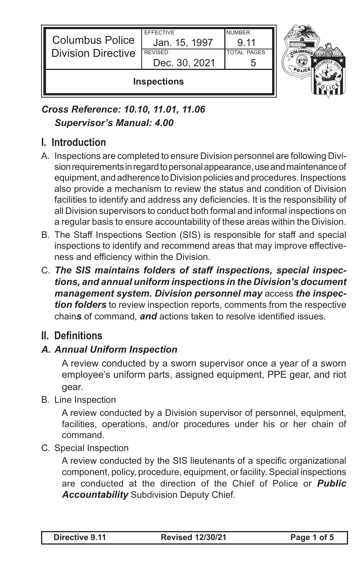| <b>Columbus Police</b><br><b>Division Directive</b> | <b>EFFECTIVE</b><br>Jan. 15, 1997<br><b>REVISED</b><br>Dec. 30, 2021 | <b>NUMBER</b><br>9 11<br><b>TOTAL PAGES</b> |  |
|-----------------------------------------------------|----------------------------------------------------------------------|---------------------------------------------|--|
| <b>Inspections</b>                                  |                                                                      |                                             |  |

## *Cross Reference: 10.10, 11.01, 11.06 Supervisor's Manual: 4.00*

## **I. Introduction**

- A. Inspections are completed to ensure Division personnel are following Division requirements in regard to personal appearance, use and maintenance of equipment, and adherence to Division policies and procedures. Inspections also provide a mechanism to review the status and condition of Division facilities to identify and address any deficiencies. It is the responsibility of all Division supervisors to conduct both formal and informal inspections on a regular basis to ensure accountability of these areas within the Division.
- B. The Staff Inspections Section (SIS) is responsible for staff and special inspections to identify and recommend areas that may improve effectiveness and efficiency within the Division.
- C. *The SIS maintains folders of staff inspections, special inspections, and annual uniform inspections in the Division's document management system. Division personnel may* access *the inspection folders* to review inspection reports, comments from the respective chain*s* of command, *and* actions taken to resolve identified issues.

### **II. Definitions**

#### *A. Annual Uniform Inspection*

A review conducted by a sworn supervisor once a year of a sworn employee's uniform parts, assigned equipment, PPE gear, and riot gear.

B. Line Inspection

A review conducted by a Division supervisor of personnel, equipment, facilities, operations, and/or procedures under his or her chain of command.

C. Special Inspection

A review conducted by the SIS lieutenants of a specific organizational component, policy, procedure, equipment, or facility. Special inspections are conducted at the direction of the Chief of Police or *Public Accountability* Subdivision Deputy Chief.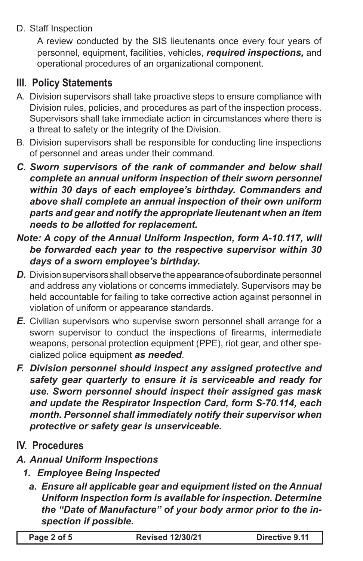D. Staff Inspection

A review conducted by the SIS lieutenants once every four years of personnel, equipment, facilities, vehicles, *required inspections,* and operational procedures of an organizational component.

# **III. Policy Statements**

- A. Division supervisors shall take proactive steps to ensure compliance with Division rules, policies, and procedures as part of the inspection process. Supervisors shall take immediate action in circumstances where there is a threat to safety or the integrity of the Division.
- B. Division supervisors shall be responsible for conducting line inspections of personnel and areas under their command.
- *C. Sworn supervisors of the rank of commander and below shall complete an annual uniform inspection of their sworn personnel within 30 days of each employee's birthday. Commanders and above shall complete an annual inspection of their own uniform parts and gear and notify the appropriate lieutenant when an item needs to be allotted for replacement.*
- *Note: A copy of the Annual Uniform Inspection, form A-10.117, will be forwarded each year to the respective supervisor within 30 days of a sworn employee's birthday.*
- *D.* Division supervisors shall observe the appearance of subordinate personnel and address any violations or concerns immediately. Supervisors may be held accountable for failing to take corrective action against personnel in violation of uniform or appearance standards.
- *E.* Civilian supervisors who supervise sworn personnel shall arrange for a sworn supervisor to conduct the inspections of firearms, intermediate weapons, personal protection equipment (PPE), riot gear, and other specialized police equipment *as needed*.
- *F. Division personnel should inspect any assigned protective and safety gear quarterly to ensure it is serviceable and ready for use. Sworn personnel should inspect their assigned gas mask and update the Respirator Inspection Card, form S-70.114, each month. Personnel shall immediately notify their supervisor when protective or safety gear is unserviceable.*
- **IV. Procedures**
- *A. Annual Uniform Inspections*
	- *1. Employee Being Inspected*
		- *a. Ensure all applicable gear and equipment listed on the Annual Uniform Inspection form is available for inspection. Determine the "Date of Manufacture" of your body armor prior to the inspection if possible.*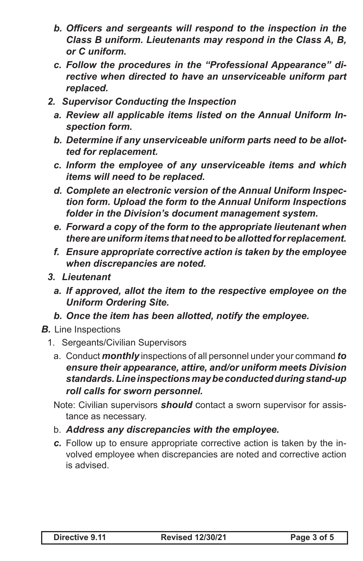- *b. Officers and sergeants will respond to the inspection in the Class B uniform. Lieutenants may respond in the Class A, B, or C uniform.*
- *c. Follow the procedures in the "Professional Appearance" directive when directed to have an unserviceable uniform part replaced.*
- *2. Supervisor Conducting the Inspection*
	- *a. Review all applicable items listed on the Annual Uniform Inspection form.*
	- *b. Determine if any unserviceable uniform parts need to be allotted for replacement.*
	- *c. Inform the employee of any unserviceable items and which items will need to be replaced.*
	- *d. Complete an electronic version of the Annual Uniform Inspection form. Upload the form to the Annual Uniform Inspections folder in the Division's document management system.*
	- *e. Forward a copy of the form to the appropriate lieutenant when there are uniform items that need to be allotted for replacement.*
	- *f. Ensure appropriate corrective action is taken by the employee when discrepancies are noted.*
- *3. Lieutenant*
	- *a. If approved, allot the item to the respective employee on the Uniform Ordering Site.*
	- *b. Once the item has been allotted, notify the employee.*
- *B.* Line Inspections
	- 1. Sergeants/Civilian Supervisors
		- a. Conduct *monthly* inspections of all personnel under your command *to ensure their appearance, attire, and/or uniform meets Division standards.Line inspections may be conducted during stand-up roll calls for sworn personnel.*
		- Note: Civilian supervisors *should* contact a sworn supervisor for assistance as necessary.
		- b. *Address any discrepancies with the employee.*
		- *c.* Follow up to ensure appropriate corrective action is taken by the involved employee when discrepancies are noted and corrective action is advised.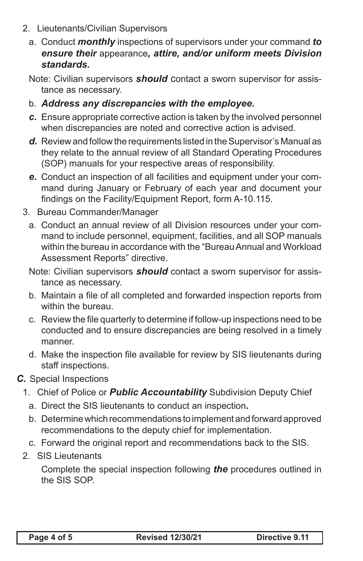- 2. Lieutenants/Civilian Supervisors
	- a. Conduct *monthly* inspections of supervisors under your command *to ensure their* appearance*, attire, and/or uniform meets Division standards.*

Note: Civilian supervisors *should* contact a sworn supervisor for assistance as necessary.

- b. *Address any discrepancies with the employee.*
- *c.* Ensure appropriate corrective action is taken by the involved personnel when discrepancies are noted and corrective action is advised.
- *d.* Review and follow the requirements listed in the Supervisor's Manual as they relate to the annual review of all Standard Operating Procedures (SOP) manuals for your respective areas of responsibility.
- *e.* Conduct an inspection of all facilities and equipment under your command during January or February of each year and document your findings on the Facility/Equipment Report, form A-10.115.
- 3. Bureau Commander/Manager
	- a. Conduct an annual review of all Division resources under your command to include personnel, equipment, facilities, and all SOP manuals within the bureau in accordance with the "Bureau Annual and Workload Assessment Reports" directive.
	- Note: Civilian supervisors *should* contact a sworn supervisor for assistance as necessary.
	- b. Maintain a file of all completed and forwarded inspection reports from within the bureau.
	- c. Review the file quarterly to determine if follow-up inspections need to be conducted and to ensure discrepancies are being resolved in a timely manner.
	- d. Make the inspection file available for review by SIS lieutenants during staff inspections.
- *C.* Special Inspections
	- 1. Chief of Police or *Public Accountability* Subdivision Deputy Chief
		- a. Direct the SIS lieutenants to conduct an inspection*.*
		- b. Determine which recommendations to implement and forward approved recommendations to the deputy chief for implementation.
	- c. Forward the original report and recommendations back to the SIS.
	- 2. SIS Lieutenants

Complete the special inspection following *the* procedures outlined in the SIS SOP.